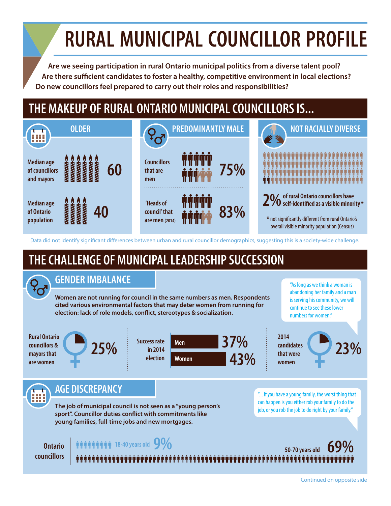# **RURAL MUNICIPAL COUNCILLOR PROFILE**

**Are we seeing participation in rural Ontario municipal politics from a diverse talent pool?** Are there sufficient candidates to foster a healthy, competitive environment in local elections? **Do new councillors feel prepared to carry out their roles and responsibilities?**

## **THE MAKEUP OF RURAL ONTARIO MUNICIPAL COUNCILLORS IS...**



Data did not identify significant differences between urban and rural councillor demographics, suggesting this is a society-wide challenge.

## **THE CHALLENGE OF MUNICIPAL LEADERSHIP SUCCESSION**

### **GENDER IMBALANCE**

**Women are not running for council in the same numbers as men. Respondents cited various environmental factors that may deter women from running for**  election: lack of role models, conflict, stereotypes & socialization.

"As long as we think a woman is abandoning her family and a man is serving his community, we will continue to see these lower numbers for women."

**Rural Ontario councillors & mayors that are women**





**2014 candidates that were women**

**23%**

**AGE DISCREPANCY**

**The job of municipal council is not seen as a "young person's**  sport". Councillor duties conflict with commitments like **young families, full-time jobs and new mortgages.** 

"... If you have a young family, the worst thing that can happen is you either rob your family to do the job, or you rob the job to do right by your family."

### **Ontario 18-40 years old**  $9\%$  **50-70 years old**  $50\%$

**councillors**

### Continued on opposite side